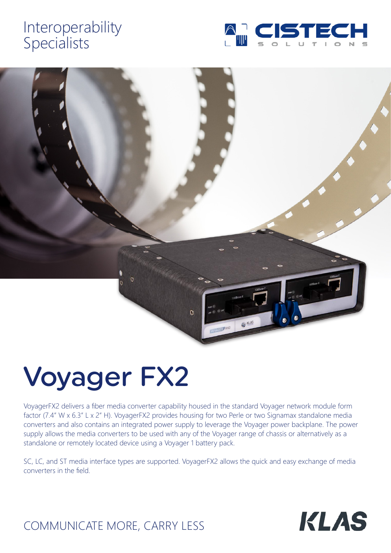# Interoperability Specialists





# Voyager FX2

VoyagerFX2 delivers a fiber media converter capability housed in the standard Voyager network module form factor (7.4" W x 6.3" L x 2" H). VoyagerFX2 provides housing for two Perle or two Signamax standalone media converters and also contains an integrated power supply to leverage the Voyager power backplane. The power supply allows the media converters to be used with any of the Voyager range of chassis or alternatively as a standalone or remotely located device using a Voyager 1 battery pack.

SC, LC, and ST media interface types are supported. VoyagerFX2 allows the quick and easy exchange of media converters in the field.



## COMMUNICATE MORE, CARRY LESS